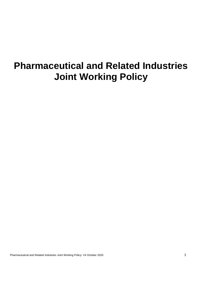# **Pharmaceutical and Related Industries Joint Working Policy**

Pharmaceutical and Related Industries Joint Working Policy: V4 October 2020 1997 1997 1998 1999 1999 1999 1999 1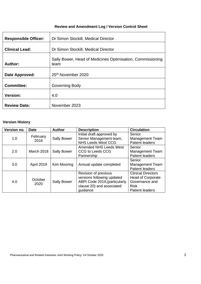# **Review and Amendment Log / Version Control Sheet**

| <b>Responsible Officer:</b> | Dr Simon Stockill, Medical Director                                |  |  |
|-----------------------------|--------------------------------------------------------------------|--|--|
| <b>Clinical Lead:</b>       | Dr Simon Stockill, Medical Director                                |  |  |
| Author:                     | Sally Bower, Head of Medicines Optimisation, Commissioning<br>team |  |  |
| Date Approved:              | 25 <sup>th</sup> November 2020                                     |  |  |
| <b>Committee:</b>           | Governing Body                                                     |  |  |
| <b>Version:</b>             | 4.0                                                                |  |  |
| <b>Review Date:</b>         | November 2023                                                      |  |  |

## **Version History**

| Version no.<br><b>Date</b> |                   | <b>Author</b>      | <b>Description</b>                                                                                                           | <b>Circulation</b>                                                                                               |  |
|----------------------------|-------------------|--------------------|------------------------------------------------------------------------------------------------------------------------------|------------------------------------------------------------------------------------------------------------------|--|
| 1.0                        | February<br>2016  | <b>Sally Bower</b> | Initial draft approved by<br>Senior Management team,                                                                         | Senior<br><b>Management Team</b>                                                                                 |  |
|                            |                   |                    | <b>NHS Leeds West CCG</b><br><b>Amended NHS Leeds West</b>                                                                   | <b>Patient leaders</b><br>Senior                                                                                 |  |
| 2.0                        | <b>March 2018</b> | <b>Sally Bower</b> | CCG to Leeds CCG<br>Partnership                                                                                              | <b>Management Team</b><br>Patient leaders                                                                        |  |
| 3.0                        | <b>April 2019</b> | Kim Mooring        | Annual update completed                                                                                                      | Senior<br><b>Management Team</b><br><b>Patient leaders</b>                                                       |  |
| 4.0                        | October<br>2020   | <b>Sally Bower</b> | Revision of previous<br>versions following updated<br>ABPI Code 2019, (particularly<br>clause 20) and associated<br>guidance | <b>Clinical Directors</b><br><b>Head of Corporate</b><br>Governance and<br><b>Risk</b><br><b>Patient leaders</b> |  |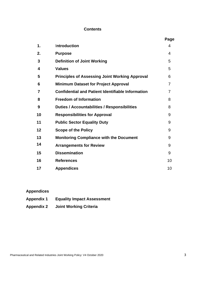#### **Contents**

|    |                                                          | Page           |
|----|----------------------------------------------------------|----------------|
| 1. | Introduction                                             | 4              |
| 2. | <b>Purpose</b>                                           | 4              |
| 3  | <b>Definition of Joint Working</b>                       | 5              |
| 4  | <b>Values</b>                                            | 5              |
| 5  | <b>Principles of Assessing Joint Working Approval</b>    | 6              |
| 6  | <b>Minimum Dataset for Project Approval</b>              | $\overline{7}$ |
| 7  | <b>Confidential and Patient Identifiable Information</b> | 7              |
| 8  | <b>Freedom of Information</b>                            | 8              |
| 9  | <b>Duties / Accountabilities / Responsibilities</b>      | 8              |
| 10 | <b>Responsibilities for Approval</b>                     | 9              |
| 11 | <b>Public Sector Equality Duty</b>                       | 9              |
| 12 | <b>Scope of the Policy</b>                               | 9              |
| 13 | <b>Monitoring Compliance with the Document</b>           | 9              |
| 14 | <b>Arrangements for Review</b>                           | 9              |
| 15 | <b>Dissemination</b>                                     | 9              |
| 16 | <b>References</b>                                        | 10             |
| 17 | <b>Appendices</b>                                        | 10             |

# **Appendices**

- **Appendix 1 Equality Impact Assessment**
- **Appendix 2 Joint Working Criteria**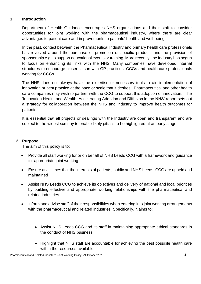#### **1 Introduction**

Department of Health Guidance encourages NHS organisations and their staff to consider opportunities for joint working with the pharmaceutical industry, where there are clear advantages to patient care and improvements to patients' health and well-being.

In the past, contact between the Pharmaceutical Industry and primary health care professionals has revolved around the purchase or promotion of specific products and the provision of sponsorship e.g. to support educational events or training. More recently, the Industry has begun to focus on enhancing its links with the NHS. Many companies have developed internal structures to encourage closer liaison with GP practices, CCGs and health care professionals working for CCGs.

The NHS does not always have the expertise or necessary tools to aid implementation of innovation or best practice at the pace or scale that it desires. Pharmaceutical and other health care companies may wish to partner with the CCG to support this adoption of innovation. The 'Innovation Health and Wealth, Accelerating Adoption and Diffusion in the NHS' report sets out a strategy for collaboration between the NHS and industry to improve health outcomes for patients.

It is essential that all projects or dealings with the Industry are open and transparent and are subject to the widest scrutiny to enable likely pitfalls to be highlighted at an early stage.

## **2 Purpose**

The aim of this policy is to:

- Provide all staff working for or on behalf of NHS Leeds CCG with a framework and guidance for appropriate joint working
- Ensure at all times that the interests of patients, public and NHS Leeds CCG are upheld and maintained
- Assist NHS Leeds CCG to achieve its objectives and delivery of national and local priorities by building effective and appropriate working relationships with the pharmaceutical and related industries
- Inform and advise staff of their responsibilities when entering into joint working arrangements with the pharmaceutical and related industries. Specifically, it aims to:
	- Assist NHS Leeds CCG and its staff in maintaining appropriate ethical standards in the conduct of NHS business.
	- Highlight that NHS staff are accountable for achieving the best possible health care within the resources available.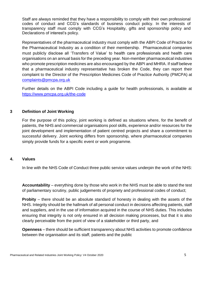Staff are always reminded that they have a responsibility to comply with their own professional codes of conduct and CCG's standards of business conduct policy. In the interests of transparency staff must comply with CCG's Hospitality, gifts and sponsorship policy and Declarations of interest's policy.

Representatives of the pharmaceutical industry must comply with the ABPI Code of Practice for the Pharmaceutical Industry as a condition of their membership. Pharmaceutical companies must publicly disclose all 'Transfers of Value' to health care professionals and health care organisations on an annual basis for the preceding year. Non-member pharmaceutical industries who promote prescription medicines are also encouraged by the ABPI and MHRA. If staff believe that a pharmaceutical industry representative has broken the Code, they can report their complaint to the Director of the Prescription Medicines Code of Practice Authority (PMCPA) at [complaints@pmcpa.org.uk](mailto:complaints@pmcpa.org.uk)

Further details on the ABPI Code including a guide for health professionals, is available at <https://www.pmcpa.org.uk/the-code>

#### **3 Definition of Joint Working**

For the purpose of this policy, joint working is defined as situations where, for the benefit of patients, the NHS and commercial organisations pool skills, experience and/or resources for the joint development and implementation of patient centred projects and share a commitment to successful delivery. Joint working differs from sponsorship, where pharmaceutical companies simply provide funds for a specific event or work programme.

#### **4. Values**

In line with the NHS Code of Conduct three public service values underpin the work of the NHS:

**Accountability** – everything done by those who work in the NHS must be able to stand the test of parliamentary scrutiny, public judgements of propriety and professional codes of conduct;

**Probity** – there should be an absolute standard of honesty in dealing with the assets of the NHS. Integrity should be the hallmark of all personal conduct in decisions affecting patients, staff and suppliers, and in the use of information acquired in the course of NHS duties. This includes ensuring that integrity is not only ensured in all decision making processes, but that it is also clearly perceivable from the point of view of a stakeholder or third party, and

**Openness** – there should be sufficient transparency about NHS activities to promote confidence between the organisation and its staff, patients and the public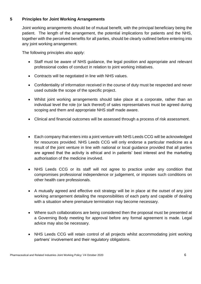## **5 Principles for Joint Working Arrangements**

Joint working arrangements should be of mutual benefit, with the principal beneficiary being the patient. The length of the arrangement, the potential implications for patients and the NHS, together with the perceived benefits for all parties, should be clearly outlined before entering into any joint working arrangement.

The following principles also apply:

- Staff must be aware of NHS guidance, the legal position and appropriate and relevant professional codes of conduct in relation to joint working initiatives.
- Contracts will be negotiated in line with NHS values.
- Confidentiality of information received in the course of duty must be respected and never used outside the scope of the specific project.
- Whilst joint working arrangements should take place at a corporate, rather than an individual level the role (or lack thereof) of sales representatives must be agreed during scoping and them and appropriate NHS staff made aware.
- Clinical and financial outcomes will be assessed through a process of risk assessment.
- Each company that enters into a joint venture with NHS Leeds CCG will be acknowledged for resources provided. NHS Leeds CCG will only endorse a particular medicine as a result of the joint venture in line with national or local guidance provided that all parties are agreed that the activity is ethical and in patients' best interest and the marketing authorisation of the medicine involved.
- NHS Leeds CCG or its staff will not agree to practice under any condition that compromises professional independence or judgement, or imposes such conditions on other health care professionals.
- A mutually agreed and effective exit strategy will be in place at the outset of any joint working arrangement detailing the responsibilities of each party and capable of dealing with a situation where premature termination may become necessary.
- Where such collaborations are being considered then the proposal must be presented at a Governing Body meeting for approval before any formal agreement is made. Legal advice may also be necessary.
- NHS Leeds CCG will retain control of all projects whilst accommodating joint working partners' involvement and their regulatory obligations.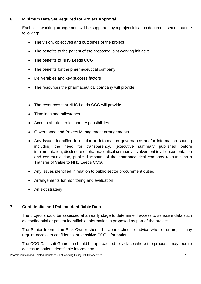## **6 Minimum Data Set Required for Project Approval**

Each joint working arrangement will be supported by a project initiation document setting out the following:

- The vision, objectives and outcomes of the project
- The benefits to the patient of the proposed joint working initiative
- The benefits to NHS Leeds CCG
- The benefits for the pharmaceutical company
- Deliverables and key success factors
- The resources the pharmaceutical company will provide
- The resources that NHS Leeds CCG will provide
- Timelines and milestones
- Accountabilities, roles and responsibilities
- Governance and Project Management arrangements
- Any issues identified in relation to information governance and/or information sharing including the need for transparency, (executive summary published before implementation, disclosure of pharmaceutical company involvement in all documentation and communication, public disclosure of the pharmaceutical company resource as a Transfer of Value to NHS Leeds CCG.
- Any issues identified in relation to public sector procurement duties
- Arrangements for monitoring and evaluation
- An exit strategy

## **7 Confidential and Patient Identifiable Data**

The project should be assessed at an early stage to determine if access to sensitive data such as confidential or patient identifiable information is proposed as part of the project.

The Senior Information Risk Owner should be approached for advice where the project may require access to confidential or sensitive CCG information.

The CCG Caldicott Guardian should be approached for advice where the proposal may require access to patient identifiable information.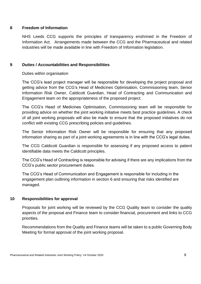#### **8 Freedom of Information**

NHS Leeds CCG supports the principles of transparency enshrined in the Freedom of Information Act. Arrangements made between the CCG and the Pharmaceutical and related industries will be made available in line with Freedom of Information legislation.

## **9 Duties / Accountabilities and Responsibilities**

#### Duties within organisation

The CCG's lead project manager will be responsible for developing the project proposal and getting advice from the CCG's Head of Medicines Optimisation, Commissioning team, Senior Information Risk Owner, Caldicott Guardian, Head of Contracting and Communication and Engagement team on the appropriateness of the proposed project.

The CCG's Head of Medicines Optimisation, Commissioning team will be responsible for providing advice on whether the joint working initiative meets best practice guidelines. A check of all joint working proposals will also be made to ensure that the proposed initiatives do not conflict with existing CCG prescribing policies and guidelines.

The Senior Information Risk Owner will be responsible for ensuring that any proposed information sharing as part of a joint working agreements is in line with the CCG's legal duties.

The CCG Caldicott Guardian is responsible for assessing if any proposed access to patient identifiable data meets the Caldicott principles.

The CCG's Head of Contracting is responsible for advising if there are any implications from the CCG's public sector procurement duties.

The CCG's Head of Communication and Engagement is responsible for including in the engagement plan outlining information in section 6 and ensuring that risks identified are managed.

## **10 Responsibilities for approval**

Proposals for joint working will be reviewed by the CCG Quality team to consider the quality aspects of the proposal and Finance team to consider financial, procurement and links to CCG priorities.

Recommendations from the Quality and Finance teams will be taken to a public Governing Body Meeting for formal approval of the joint working proposal.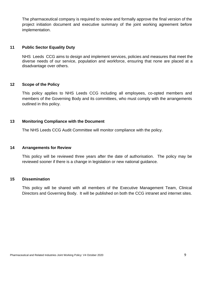The pharmaceutical company is required to review and formally approve the final version of the project initiation document and executive summary of the joint working agreement before implementation.

#### **11 Public Sector Equality Duty**

NHS Leeds CCG aims to design and implement services, policies and measures that meet the diverse needs of our service, population and workforce, ensuring that none are placed at a disadvantage over others.

#### **12 Scope of the Policy**

This policy applies to NHS Leeds CCG including all employees, co-opted members and members of the Governing Body and its committees, who must comply with the arrangements outlined in this policy.

#### **13 Monitoring Compliance with the Document**

The NHS Leeds CCG Audit Committee will monitor compliance with the policy.

#### **14 Arrangements for Review**

This policy will be reviewed three years after the date of authorisation. The policy may be reviewed sooner if there is a change in legislation or new national guidance.

#### **15 Dissemination**

This policy will be shared with all members of the Executive Management Team, Clinical Directors and Governing Body. It will be published on both the CCG intranet and internet sites.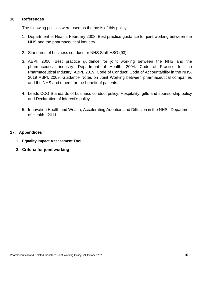#### **16 References**

The following policies were used as the basis of this policy

- 1. Department of Health, February 2008. Best practice guidance for joint working between the NHS and the pharmaceutical industry.
- 2. Standards of business conduct for NHS Staff HSG (93).
- 3. ABPI, 2006. Best practice guidance for joint working between the NHS and the pharmaceutical industry. Department of Health, 2004. Code of Practice for the Pharmaceutical Industry. ABPI, 2019. Code of Conduct: Code of Accountability in the NHS. 2019 ABPI, 2009. Guidance Notes on Joint Working between pharmaceutical companies and the NHS and others for the benefit of patients.
- 4. Leeds CCG Standards of business conduct policy, Hospitality, gifts and sponsorship policy and Declaration of interest's policy.
- 5. Innovation Health and Wealth, Accelerating Adoption and Diffusion in the NHS. Department of Health. 2011.

## **17. Appendices**

- **1. Equality Impact Assessment Tool**
- **2. Criteria for joint working**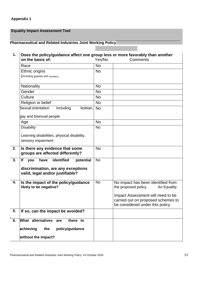# **Appendix 1**

## **Equality Impact Assessment Tool**

# **Pharmaceutical and Related Industries Joint Working Policy**

| 1. | Does the policy/guidance affect one group less or more favorably than another<br>on the basis of:<br>Yes/No<br>Comments |           |                                                                                                             |  |
|----|-------------------------------------------------------------------------------------------------------------------------|-----------|-------------------------------------------------------------------------------------------------------------|--|
|    | Race                                                                                                                    | <b>No</b> |                                                                                                             |  |
|    | Ethnic origins                                                                                                          | <b>No</b> |                                                                                                             |  |
|    | (including gypsies and travellers)                                                                                      |           |                                                                                                             |  |
|    | Nationality                                                                                                             | <b>No</b> |                                                                                                             |  |
|    | Gender                                                                                                                  | <b>No</b> |                                                                                                             |  |
|    | Culture                                                                                                                 | <b>No</b> |                                                                                                             |  |
|    | Religion or belief                                                                                                      | <b>No</b> |                                                                                                             |  |
|    | Sexual orientation<br>including<br>lesbian,<br>gay and bisexual people                                                  | <b>No</b> |                                                                                                             |  |
|    |                                                                                                                         | <b>No</b> |                                                                                                             |  |
|    | Age<br><b>Disability</b>                                                                                                | <b>No</b> |                                                                                                             |  |
|    | Learning disabilities, physical disability,<br>sensory impairment                                                       |           |                                                                                                             |  |
|    |                                                                                                                         |           |                                                                                                             |  |
| 2. | Is there any evidence that some<br>groups are affected differently?                                                     | <b>No</b> |                                                                                                             |  |
| 3. | identified<br>potential<br>have<br>lf<br>you                                                                            | <b>No</b> |                                                                                                             |  |
|    | discrimination, are any exceptions<br>valid, legal and/or justifiable?                                                  |           |                                                                                                             |  |
| 4. | Is the impact of the policy/guidance<br>likely to be negative?                                                          | <b>No</b> | No impact has been identified from<br>the proposed policy.<br>An Equality                                   |  |
|    |                                                                                                                         |           | Impact Assessment will need to be<br>carried out on proposed schemes to<br>be considered under this policy. |  |
| 5. | If so, can the impact be avoided?                                                                                       |           |                                                                                                             |  |
| 6. | What alternatives<br>there to<br>are                                                                                    |           |                                                                                                             |  |
|    | achieving<br>policy/guidance<br>the                                                                                     |           |                                                                                                             |  |
|    | without the impact?                                                                                                     |           |                                                                                                             |  |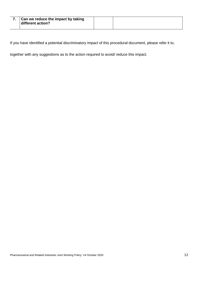| Can we reduce the impact by taking<br>different action? |  |
|---------------------------------------------------------|--|
|                                                         |  |

If you have identified a potential discriminatory impact of this procedural document, please refer it to,

together with any suggestions as to the action required to avoid/ reduce this impact.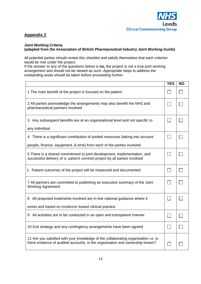## **Appendix 2**

#### **Joint Working Criteria (adapted from the Association of British Pharmaceutical Industry Joint Working Guide)**

All potential parties should review this checklist and satisfy themselves that each criterion would be met under the project.

If the answer to any of the questions below is **no,** the project is not a true joint working arrangement and should not be viewed as such. Appropriate steps to address the outstanding areas should be taken before proceeding further.

|                                                                                                                                                                    | <b>YES</b> | <b>NO</b> |
|--------------------------------------------------------------------------------------------------------------------------------------------------------------------|------------|-----------|
| 1 The main benefit of the project is focused on the patient                                                                                                        |            |           |
| 2 All parties acknowledge the arrangements may also benefit the NHS and<br>pharmaceutical partners involved                                                        |            |           |
| 3 Any subsequent benefits are at an organisational level and not specific to<br>any individual                                                                     |            |           |
| 4 There is a significant contribution of pooled resources (taking into account<br>people, finance, equipment, & time) from each of the parties involved            |            |           |
| 5 There is a shared commitment to joint development, implementation, and<br>successful delivery of a patient centred project by all parties involved               |            |           |
| 1. Patient outcomes of the project will be measured and documented                                                                                                 |            |           |
| 7 All partners are committed to publishing an executive summary of the Joint<br><b>Working Agreement</b>                                                           |            |           |
| 8 All proposed treatments involved are in line national guidance where it                                                                                          |            |           |
| exists and based on evidence based clinical practice                                                                                                               |            |           |
| 9 All activities are to be conducted in an open and transparent manner                                                                                             |            |           |
| 10 Exit strategy and any contingency arrangements have been agreed                                                                                                 |            |           |
| 11 Are you satisfied with your knowledge of the collaborating organisation i.e. is<br>there evidence of audited accounts, is the organisation and ownership known? |            |           |